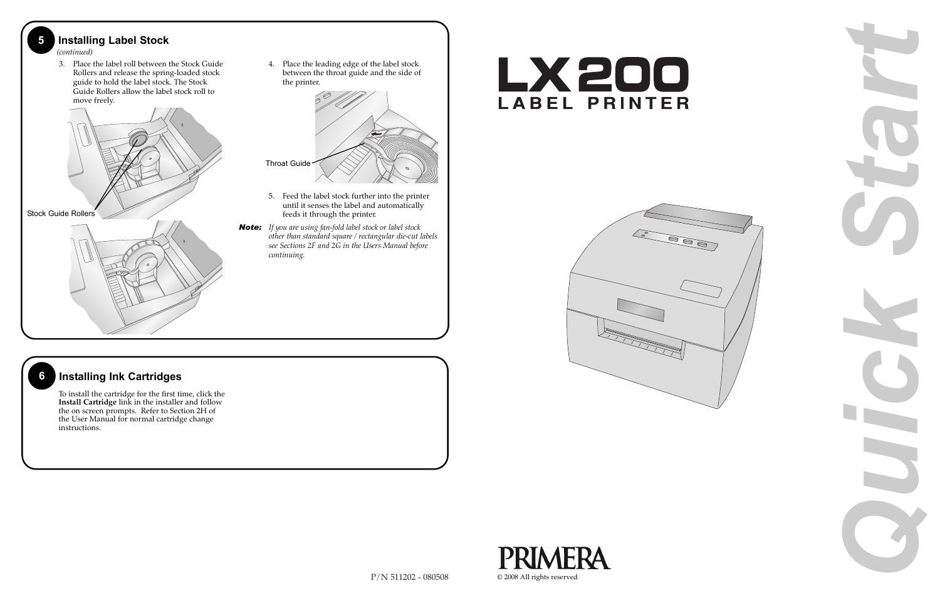

4. Place the leading edge of the label stock between the throat guide and the side of





- 5. Feed the label stock further into the printer until it senses the label and automatically feeds it through the printer.
- *Note: If you are using fan-fold label stock or label stock other than standard square / rectangular die-cut labels see Sections 2F and 2G in the Users Manual before*



## **6 Installing Ink Cartridges**

To install the cartridge for the first time, click the **Install Cartridge** link in the installer and follow the on screen prompts. Refer to Section 2H of the User Manual for normal cartridge change instructions.